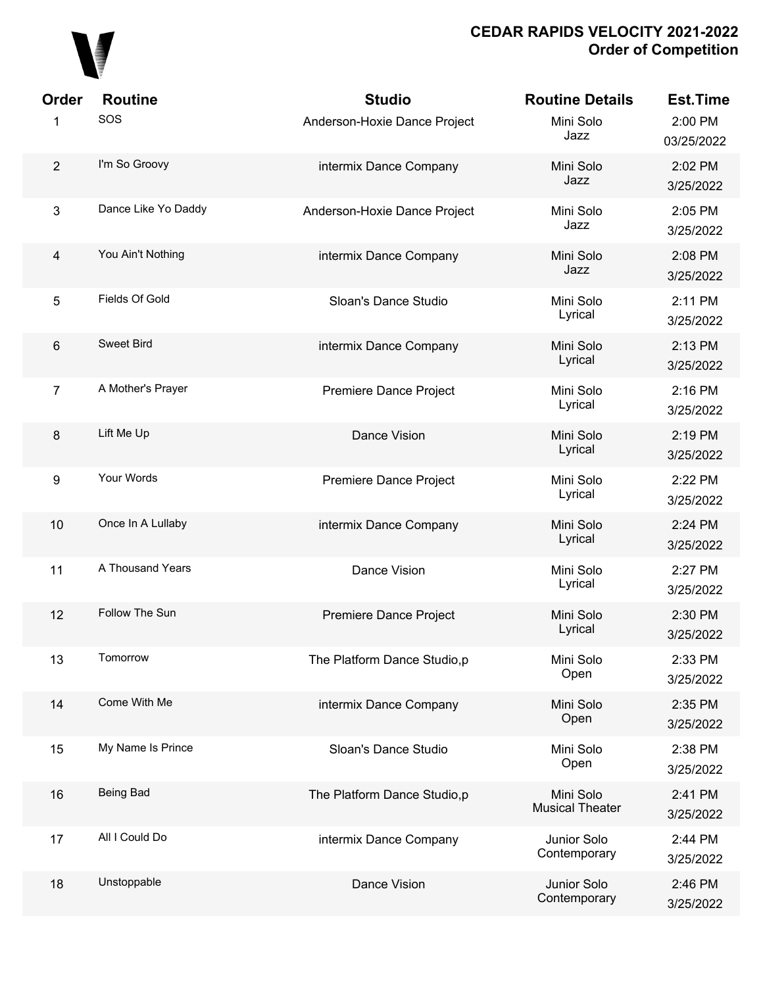

| Order                   | <b>Routine</b>      | <b>Studio</b>                | <b>Routine Details</b>              | <b>Est.Time</b>       |
|-------------------------|---------------------|------------------------------|-------------------------------------|-----------------------|
| 1                       | SOS                 | Anderson-Hoxie Dance Project | Mini Solo<br>Jazz                   | 2:00 PM<br>03/25/2022 |
| $\overline{2}$          | I'm So Groovy       | intermix Dance Company       | Mini Solo<br>Jazz                   | 2:02 PM<br>3/25/2022  |
| 3                       | Dance Like Yo Daddy | Anderson-Hoxie Dance Project | Mini Solo<br>Jazz                   | 2:05 PM<br>3/25/2022  |
| $\overline{\mathbf{4}}$ | You Ain't Nothing   | intermix Dance Company       | Mini Solo<br>Jazz                   | 2:08 PM<br>3/25/2022  |
| 5                       | Fields Of Gold      | Sloan's Dance Studio         | Mini Solo<br>Lyrical                | 2:11 PM<br>3/25/2022  |
| 6                       | <b>Sweet Bird</b>   | intermix Dance Company       | Mini Solo<br>Lyrical                | 2:13 PM<br>3/25/2022  |
| $\overline{7}$          | A Mother's Prayer   | Premiere Dance Project       | Mini Solo<br>Lyrical                | 2:16 PM<br>3/25/2022  |
| $\bf 8$                 | Lift Me Up          | Dance Vision                 | Mini Solo<br>Lyrical                | 2:19 PM<br>3/25/2022  |
| 9                       | Your Words          | Premiere Dance Project       | Mini Solo<br>Lyrical                | 2:22 PM<br>3/25/2022  |
| 10                      | Once In A Lullaby   | intermix Dance Company       | Mini Solo<br>Lyrical                | 2:24 PM<br>3/25/2022  |
| 11                      | A Thousand Years    | Dance Vision                 | Mini Solo<br>Lyrical                | 2:27 PM<br>3/25/2022  |
| 12                      | Follow The Sun      | Premiere Dance Project       | Mini Solo<br>Lyrical                | 2:30 PM<br>3/25/2022  |
| 13                      | Tomorrow            | The Platform Dance Studio,p  | Mini Solo<br>Open                   | 2:33 PM<br>3/25/2022  |
| 14                      | Come With Me        | intermix Dance Company       | Mini Solo<br>Open                   | 2:35 PM<br>3/25/2022  |
| 15                      | My Name Is Prince   | Sloan's Dance Studio         | Mini Solo<br>Open                   | 2:38 PM<br>3/25/2022  |
| 16                      | Being Bad           | The Platform Dance Studio,p  | Mini Solo<br><b>Musical Theater</b> | 2:41 PM<br>3/25/2022  |
| 17                      | All I Could Do      | intermix Dance Company       | Junior Solo<br>Contemporary         | 2:44 PM<br>3/25/2022  |
| 18                      | Unstoppable         | Dance Vision                 | Junior Solo<br>Contemporary         | 2:46 PM<br>3/25/2022  |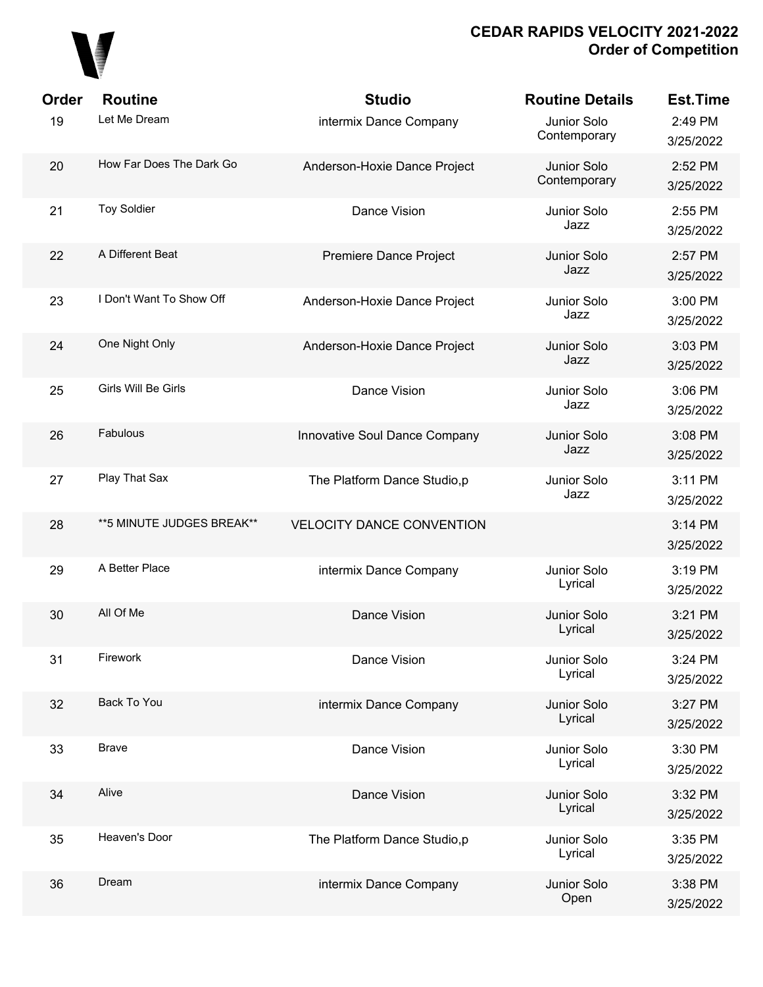

| Order | <b>Routine</b>             | <b>Studio</b>                    | <b>Routine Details</b>      | <b>Est.Time</b>      |
|-------|----------------------------|----------------------------------|-----------------------------|----------------------|
| 19    | Let Me Dream               | intermix Dance Company           | Junior Solo<br>Contemporary | 2:49 PM<br>3/25/2022 |
| 20    | How Far Does The Dark Go   | Anderson-Hoxie Dance Project     | Junior Solo<br>Contemporary | 2:52 PM<br>3/25/2022 |
| 21    | <b>Toy Soldier</b>         | Dance Vision                     | Junior Solo<br>Jazz         | 2:55 PM<br>3/25/2022 |
| 22    | A Different Beat           | Premiere Dance Project           | Junior Solo<br>Jazz         | 2:57 PM<br>3/25/2022 |
| 23    | I Don't Want To Show Off   | Anderson-Hoxie Dance Project     | Junior Solo<br>Jazz         | 3:00 PM<br>3/25/2022 |
| 24    | One Night Only             | Anderson-Hoxie Dance Project     | Junior Solo<br>Jazz         | 3:03 PM<br>3/25/2022 |
| 25    | Girls Will Be Girls        | Dance Vision                     | Junior Solo<br>Jazz         | 3:06 PM<br>3/25/2022 |
| 26    | Fabulous                   | Innovative Soul Dance Company    | Junior Solo<br>Jazz         | 3:08 PM<br>3/25/2022 |
| 27    | Play That Sax              | The Platform Dance Studio,p      | Junior Solo<br>Jazz         | 3:11 PM<br>3/25/2022 |
| 28    | ** 5 MINUTE JUDGES BREAK** | <b>VELOCITY DANCE CONVENTION</b> |                             | 3:14 PM<br>3/25/2022 |
| 29    | A Better Place             | intermix Dance Company           | Junior Solo<br>Lyrical      | 3:19 PM<br>3/25/2022 |
| 30    | All Of Me                  | Dance Vision                     | Junior Solo<br>Lyrical      | 3:21 PM<br>3/25/2022 |
| 31    | Firework                   | Dance Vision                     | Junior Solo<br>Lyrical      | 3:24 PM<br>3/25/2022 |
| 32    | Back To You                | intermix Dance Company           | Junior Solo<br>Lyrical      | 3:27 PM<br>3/25/2022 |
| 33    | <b>Brave</b>               | Dance Vision                     | Junior Solo<br>Lyrical      | 3:30 PM<br>3/25/2022 |
| 34    | Alive                      | Dance Vision                     | Junior Solo<br>Lyrical      | 3:32 PM<br>3/25/2022 |
| 35    | Heaven's Door              | The Platform Dance Studio,p      | Junior Solo<br>Lyrical      | 3:35 PM<br>3/25/2022 |
| 36    | Dream                      | intermix Dance Company           | Junior Solo<br>Open         | 3:38 PM<br>3/25/2022 |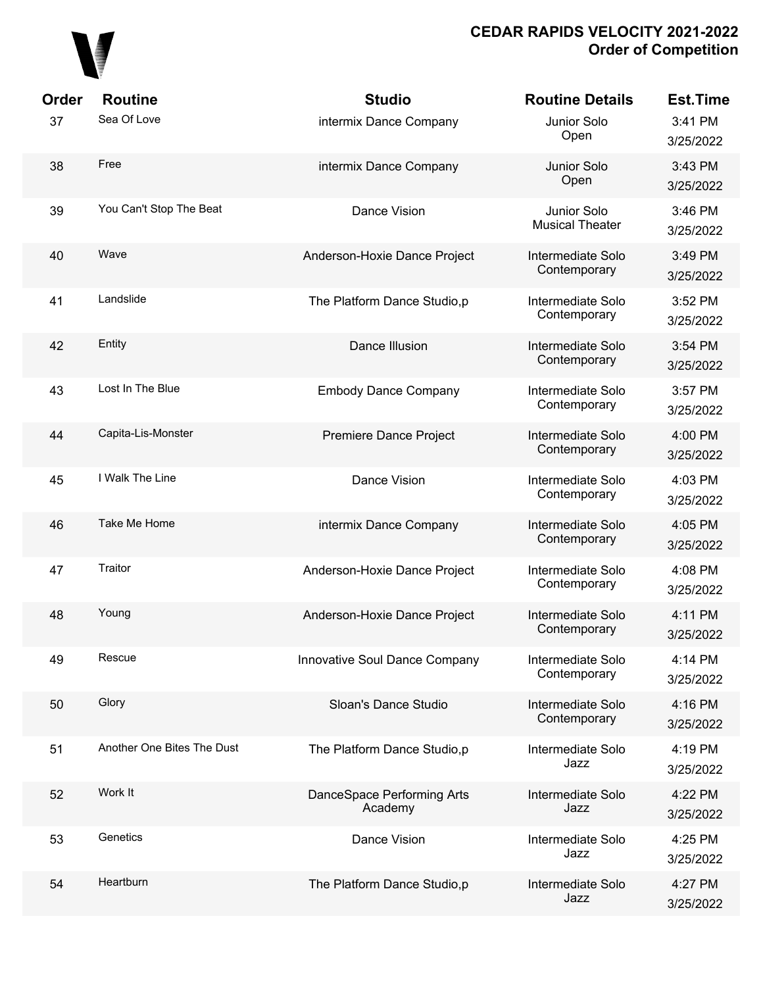

| Order | <b>Routine</b>             | <b>Studio</b>                         | <b>Routine Details</b>                | <b>Est.Time</b>      |
|-------|----------------------------|---------------------------------------|---------------------------------------|----------------------|
| 37    | Sea Of Love                | intermix Dance Company                | Junior Solo<br>Open                   | 3:41 PM<br>3/25/2022 |
| 38    | Free                       | intermix Dance Company                | Junior Solo<br>Open                   | 3:43 PM<br>3/25/2022 |
| 39    | You Can't Stop The Beat    | Dance Vision                          | Junior Solo<br><b>Musical Theater</b> | 3:46 PM<br>3/25/2022 |
| 40    | Wave                       | Anderson-Hoxie Dance Project          | Intermediate Solo<br>Contemporary     | 3:49 PM<br>3/25/2022 |
| 41    | Landslide                  | The Platform Dance Studio,p           | Intermediate Solo<br>Contemporary     | 3:52 PM<br>3/25/2022 |
| 42    | Entity                     | Dance Illusion                        | Intermediate Solo<br>Contemporary     | 3:54 PM<br>3/25/2022 |
| 43    | Lost In The Blue           | <b>Embody Dance Company</b>           | Intermediate Solo<br>Contemporary     | 3:57 PM<br>3/25/2022 |
| 44    | Capita-Lis-Monster         | <b>Premiere Dance Project</b>         | Intermediate Solo<br>Contemporary     | 4:00 PM<br>3/25/2022 |
| 45    | I Walk The Line            | Dance Vision                          | Intermediate Solo<br>Contemporary     | 4:03 PM<br>3/25/2022 |
| 46    | Take Me Home               | intermix Dance Company                | Intermediate Solo<br>Contemporary     | 4:05 PM<br>3/25/2022 |
| 47    | Traitor                    | Anderson-Hoxie Dance Project          | Intermediate Solo<br>Contemporary     | 4:08 PM<br>3/25/2022 |
| 48    | Young                      | Anderson-Hoxie Dance Project          | Intermediate Solo<br>Contemporary     | 4:11 PM<br>3/25/2022 |
| 49    | Rescue                     | Innovative Soul Dance Company         | Intermediate Solo<br>Contemporary     | 4:14 PM<br>3/25/2022 |
| 50    | Glory                      | Sloan's Dance Studio                  | Intermediate Solo<br>Contemporary     | 4:16 PM<br>3/25/2022 |
| 51    | Another One Bites The Dust | The Platform Dance Studio,p           | Intermediate Solo<br>Jazz             | 4:19 PM<br>3/25/2022 |
| 52    | Work It                    | DanceSpace Performing Arts<br>Academy | Intermediate Solo<br>Jazz             | 4:22 PM<br>3/25/2022 |
| 53    | Genetics                   | Dance Vision                          | Intermediate Solo<br>Jazz             | 4:25 PM<br>3/25/2022 |
| 54    | Heartburn                  | The Platform Dance Studio,p           | Intermediate Solo<br>Jazz             | 4:27 PM<br>3/25/2022 |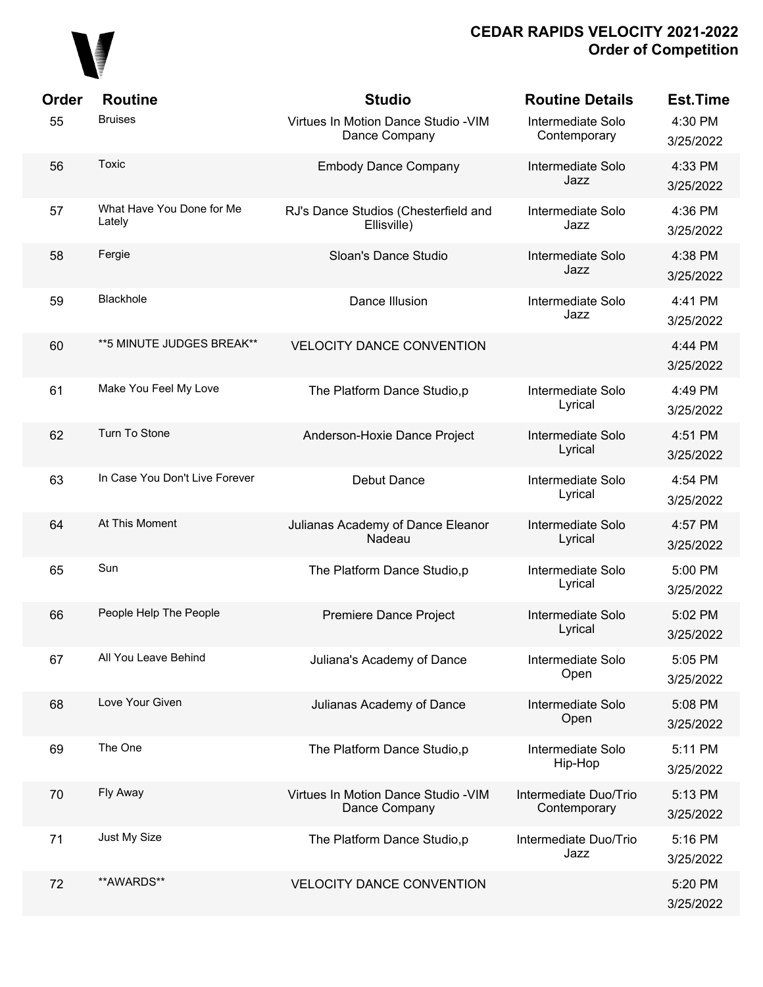

| Order | <b>Routine</b>                      | <b>Studio</b>                                         | <b>Routine Details</b>                | <b>Est.Time</b>      |
|-------|-------------------------------------|-------------------------------------------------------|---------------------------------------|----------------------|
| 55    | <b>Bruises</b>                      | Virtues In Motion Dance Studio - VIM<br>Dance Company | Intermediate Solo<br>Contemporary     | 4:30 PM<br>3/25/2022 |
| 56    | Toxic                               | <b>Embody Dance Company</b>                           | Intermediate Solo<br>Jazz             | 4:33 PM<br>3/25/2022 |
| 57    | What Have You Done for Me<br>Lately | RJ's Dance Studios (Chesterfield and<br>Ellisville)   | Intermediate Solo<br>Jazz             | 4:36 PM<br>3/25/2022 |
| 58    | Fergie                              | Sloan's Dance Studio                                  | Intermediate Solo<br>Jazz             | 4:38 PM<br>3/25/2022 |
| 59    | Blackhole                           | Dance Illusion                                        | Intermediate Solo<br>Jazz             | 4:41 PM<br>3/25/2022 |
| 60    | **5 MINUTE JUDGES BREAK**           | <b>VELOCITY DANCE CONVENTION</b>                      |                                       | 4:44 PM<br>3/25/2022 |
| 61    | Make You Feel My Love               | The Platform Dance Studio,p                           | Intermediate Solo<br>Lyrical          | 4:49 PM<br>3/25/2022 |
| 62    | Turn To Stone                       | Anderson-Hoxie Dance Project                          | Intermediate Solo<br>Lyrical          | 4:51 PM<br>3/25/2022 |
| 63    | In Case You Don't Live Forever      | Debut Dance                                           | Intermediate Solo<br>Lyrical          | 4:54 PM<br>3/25/2022 |
| 64    | At This Moment                      | Julianas Academy of Dance Eleanor<br>Nadeau           | Intermediate Solo<br>Lyrical          | 4:57 PM<br>3/25/2022 |
| 65    | Sun                                 | The Platform Dance Studio,p                           | Intermediate Solo<br>Lyrical          | 5:00 PM<br>3/25/2022 |
| 66    | People Help The People              | Premiere Dance Project                                | Intermediate Solo<br>Lyrical          | 5:02 PM<br>3/25/2022 |
| 67    | All You Leave Behind                | Juliana's Academy of Dance                            | Intermediate Solo<br>Open             | 5:05 PM<br>3/25/2022 |
| 68    | Love Your Given                     | Julianas Academy of Dance                             | Intermediate Solo<br>Open             | 5:08 PM<br>3/25/2022 |
| 69    | The One                             | The Platform Dance Studio,p                           | Intermediate Solo<br>Hip-Hop          | 5:11 PM<br>3/25/2022 |
| 70    | Fly Away                            | Virtues In Motion Dance Studio - VIM<br>Dance Company | Intermediate Duo/Trio<br>Contemporary | 5:13 PM<br>3/25/2022 |
| 71    | Just My Size                        | The Platform Dance Studio,p                           | Intermediate Duo/Trio<br>Jazz         | 5:16 PM<br>3/25/2022 |
| 72    | **AWARDS**                          | <b>VELOCITY DANCE CONVENTION</b>                      |                                       | 5:20 PM<br>3/25/2022 |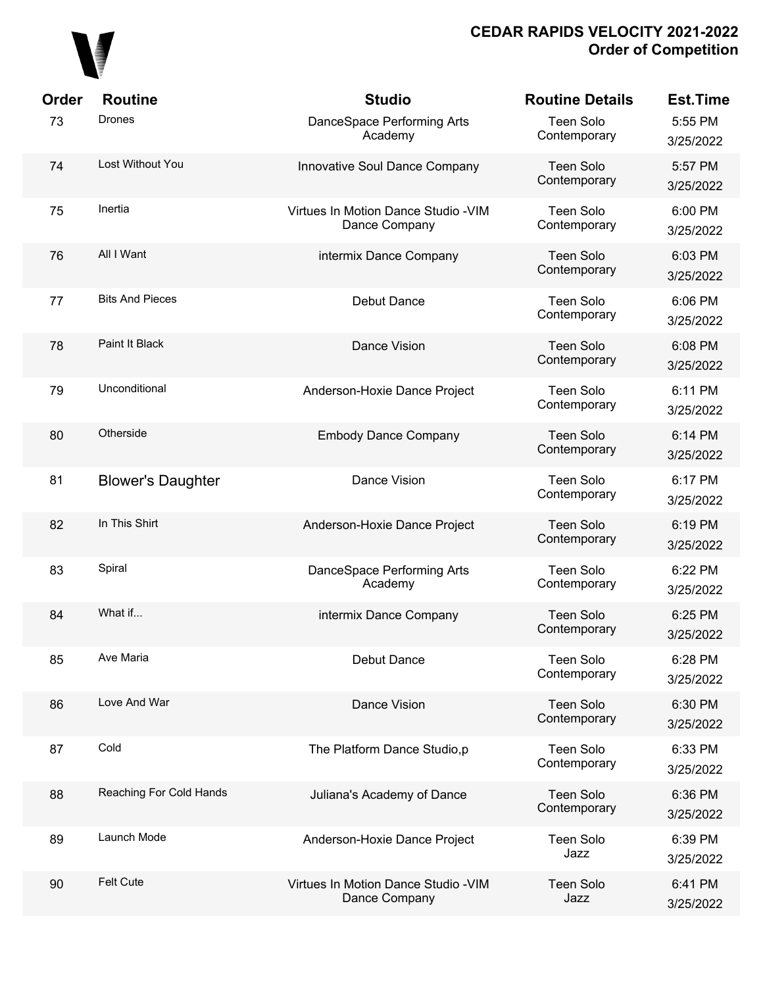

| Order | <b>Routine</b>           | <b>Studio</b>                                         | <b>Routine Details</b>           | <b>Est.Time</b>      |
|-------|--------------------------|-------------------------------------------------------|----------------------------------|----------------------|
| 73    | <b>Drones</b>            | DanceSpace Performing Arts<br>Academy                 | <b>Teen Solo</b><br>Contemporary | 5:55 PM<br>3/25/2022 |
| 74    | Lost Without You         | Innovative Soul Dance Company                         | <b>Teen Solo</b><br>Contemporary | 5:57 PM<br>3/25/2022 |
| 75    | Inertia                  | Virtues In Motion Dance Studio - VIM<br>Dance Company | <b>Teen Solo</b><br>Contemporary | 6:00 PM<br>3/25/2022 |
| 76    | All I Want               | intermix Dance Company                                | <b>Teen Solo</b><br>Contemporary | 6:03 PM<br>3/25/2022 |
| 77    | <b>Bits And Pieces</b>   | Debut Dance                                           | <b>Teen Solo</b><br>Contemporary | 6:06 PM<br>3/25/2022 |
| 78    | Paint It Black           | Dance Vision                                          | <b>Teen Solo</b><br>Contemporary | 6:08 PM<br>3/25/2022 |
| 79    | Unconditional            | Anderson-Hoxie Dance Project                          | <b>Teen Solo</b><br>Contemporary | 6:11 PM<br>3/25/2022 |
| 80    | Otherside                | <b>Embody Dance Company</b>                           | <b>Teen Solo</b><br>Contemporary | 6:14 PM<br>3/25/2022 |
| 81    | <b>Blower's Daughter</b> | Dance Vision                                          | <b>Teen Solo</b><br>Contemporary | 6:17 PM<br>3/25/2022 |
| 82    | In This Shirt            | Anderson-Hoxie Dance Project                          | Teen Solo<br>Contemporary        | 6:19 PM<br>3/25/2022 |
| 83    | Spiral                   | DanceSpace Performing Arts<br>Academy                 | Teen Solo<br>Contemporary        | 6:22 PM<br>3/25/2022 |
| 84    | What if                  | intermix Dance Company                                | Teen Solo<br>Contemporary        | 6:25 PM<br>3/25/2022 |
| 85    | Ave Maria                | Debut Dance                                           | Teen Solo<br>Contemporary        | 6:28 PM<br>3/25/2022 |
| 86    | Love And War             | Dance Vision                                          | Teen Solo<br>Contemporary        | 6:30 PM<br>3/25/2022 |
| 87    | Cold                     | The Platform Dance Studio,p                           | Teen Solo<br>Contemporary        | 6:33 PM<br>3/25/2022 |
| 88    | Reaching For Cold Hands  | Juliana's Academy of Dance                            | <b>Teen Solo</b><br>Contemporary | 6:36 PM<br>3/25/2022 |
| 89    | Launch Mode              | Anderson-Hoxie Dance Project                          | <b>Teen Solo</b><br>Jazz         | 6:39 PM<br>3/25/2022 |
| 90    | <b>Felt Cute</b>         | Virtues In Motion Dance Studio - VIM<br>Dance Company | <b>Teen Solo</b><br>Jazz         | 6:41 PM<br>3/25/2022 |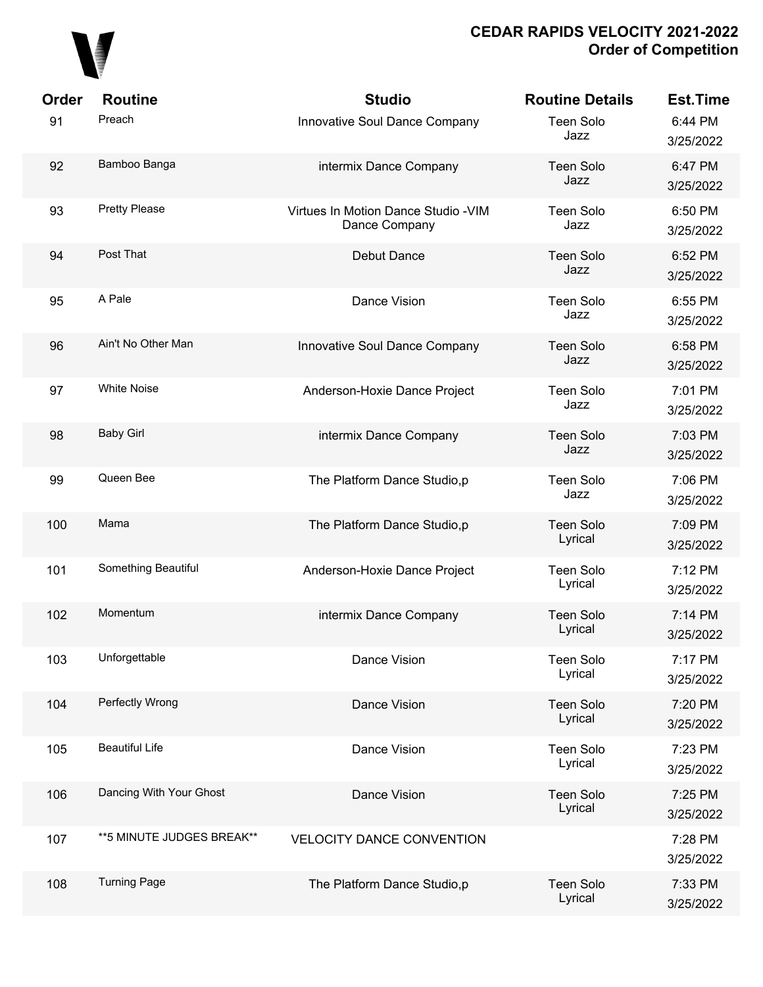# 

| <b>Order</b> | <b>Routine</b>             | <b>Studio</b>                                         | <b>Routine Details</b>      | <b>Est.Time</b>      |
|--------------|----------------------------|-------------------------------------------------------|-----------------------------|----------------------|
| 91           | Preach                     | Innovative Soul Dance Company                         | <b>Teen Solo</b><br>Jazz    | 6:44 PM<br>3/25/2022 |
| 92           | Bamboo Banga               | intermix Dance Company                                | Teen Solo<br>Jazz           | 6:47 PM<br>3/25/2022 |
| 93           | <b>Pretty Please</b>       | Virtues In Motion Dance Studio - VIM<br>Dance Company | <b>Teen Solo</b><br>Jazz    | 6:50 PM<br>3/25/2022 |
| 94           | Post That                  | Debut Dance                                           | <b>Teen Solo</b><br>Jazz    | 6:52 PM<br>3/25/2022 |
| 95           | A Pale                     | Dance Vision                                          | <b>Teen Solo</b><br>Jazz    | 6:55 PM<br>3/25/2022 |
| 96           | Ain't No Other Man         | Innovative Soul Dance Company                         | <b>Teen Solo</b><br>Jazz    | 6:58 PM<br>3/25/2022 |
| 97           | <b>White Noise</b>         | Anderson-Hoxie Dance Project                          | <b>Teen Solo</b><br>Jazz    | 7:01 PM<br>3/25/2022 |
| 98           | <b>Baby Girl</b>           | intermix Dance Company                                | <b>Teen Solo</b><br>Jazz    | 7:03 PM<br>3/25/2022 |
| 99           | Queen Bee                  | The Platform Dance Studio,p                           | <b>Teen Solo</b><br>Jazz    | 7:06 PM<br>3/25/2022 |
| 100          | Mama                       | The Platform Dance Studio,p                           | <b>Teen Solo</b><br>Lyrical | 7:09 PM<br>3/25/2022 |
| 101          | Something Beautiful        | Anderson-Hoxie Dance Project                          | <b>Teen Solo</b><br>Lyrical | 7:12 PM<br>3/25/2022 |
| 102          | Momentum                   | intermix Dance Company                                | <b>Teen Solo</b><br>Lyrical | 7:14 PM<br>3/25/2022 |
| 103          | Unforgettable              | Dance Vision                                          | <b>Teen Solo</b><br>Lyrical | 7:17 PM<br>3/25/2022 |
| 104          | Perfectly Wrong            | Dance Vision                                          | <b>Teen Solo</b><br>Lyrical | 7:20 PM<br>3/25/2022 |
| 105          | <b>Beautiful Life</b>      | Dance Vision                                          | <b>Teen Solo</b><br>Lyrical | 7:23 PM<br>3/25/2022 |
| 106          | Dancing With Your Ghost    | Dance Vision                                          | <b>Teen Solo</b><br>Lyrical | 7:25 PM<br>3/25/2022 |
| 107          | ** 5 MINUTE JUDGES BREAK** | <b>VELOCITY DANCE CONVENTION</b>                      |                             | 7:28 PM<br>3/25/2022 |
| 108          | <b>Turning Page</b>        | The Platform Dance Studio,p                           | <b>Teen Solo</b><br>Lyrical | 7:33 PM<br>3/25/2022 |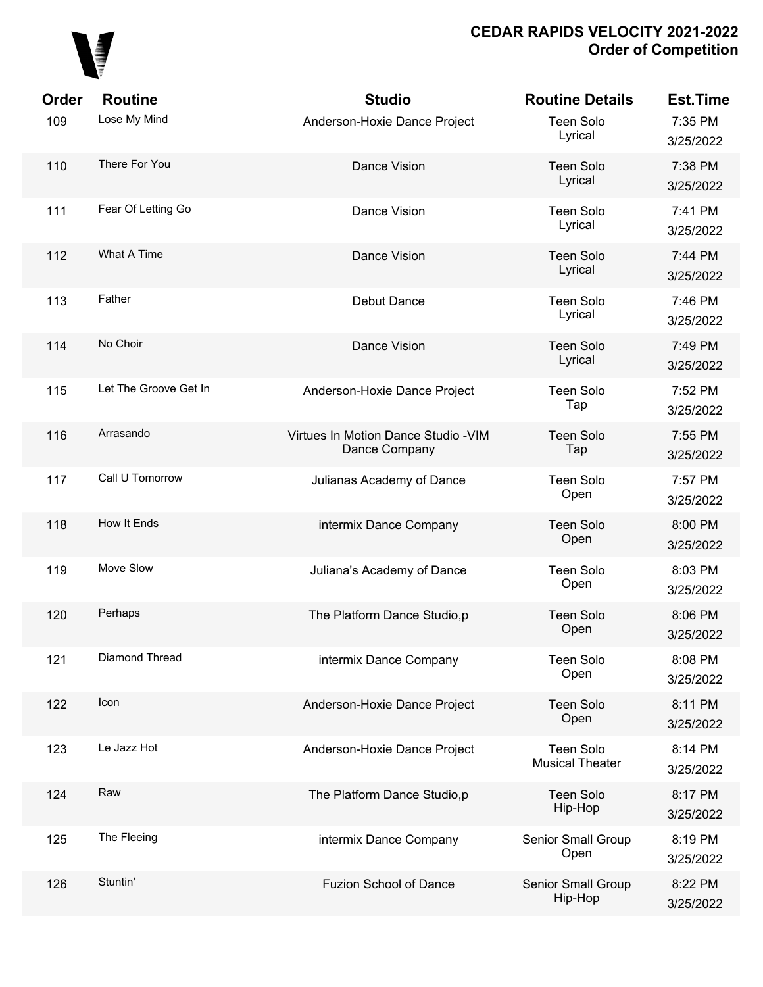

| <b>Order</b> | <b>Routine</b>        | <b>Studio</b>                                         | <b>Routine Details</b>                     | <b>Est.Time</b>      |
|--------------|-----------------------|-------------------------------------------------------|--------------------------------------------|----------------------|
| 109          | Lose My Mind          | Anderson-Hoxie Dance Project                          | <b>Teen Solo</b><br>Lyrical                | 7:35 PM<br>3/25/2022 |
| 110          | There For You         | Dance Vision                                          | <b>Teen Solo</b><br>Lyrical                | 7:38 PM<br>3/25/2022 |
| 111          | Fear Of Letting Go    | Dance Vision                                          | <b>Teen Solo</b><br>Lyrical                | 7:41 PM<br>3/25/2022 |
| 112          | What A Time           | Dance Vision                                          | <b>Teen Solo</b><br>Lyrical                | 7:44 PM<br>3/25/2022 |
| 113          | Father                | Debut Dance                                           | <b>Teen Solo</b><br>Lyrical                | 7:46 PM<br>3/25/2022 |
| 114          | No Choir              | Dance Vision                                          | <b>Teen Solo</b><br>Lyrical                | 7:49 PM<br>3/25/2022 |
| 115          | Let The Groove Get In | Anderson-Hoxie Dance Project                          | <b>Teen Solo</b><br>Tap                    | 7:52 PM<br>3/25/2022 |
| 116          | Arrasando             | Virtues In Motion Dance Studio - VIM<br>Dance Company | <b>Teen Solo</b><br>Tap                    | 7:55 PM<br>3/25/2022 |
| 117          | Call U Tomorrow       | Julianas Academy of Dance                             | <b>Teen Solo</b><br>Open                   | 7:57 PM<br>3/25/2022 |
| 118          | How It Ends           | intermix Dance Company                                | <b>Teen Solo</b><br>Open                   | 8:00 PM<br>3/25/2022 |
| 119          | Move Slow             | Juliana's Academy of Dance                            | <b>Teen Solo</b><br>Open                   | 8:03 PM<br>3/25/2022 |
| 120          | Perhaps               | The Platform Dance Studio,p                           | <b>Teen Solo</b><br>Open                   | 8:06 PM<br>3/25/2022 |
| 121          | Diamond Thread        | intermix Dance Company                                | <b>Teen Solo</b><br>Open                   | 8:08 PM<br>3/25/2022 |
| 122          | Icon                  | Anderson-Hoxie Dance Project                          | <b>Teen Solo</b><br>Open                   | 8:11 PM<br>3/25/2022 |
| 123          | Le Jazz Hot           | Anderson-Hoxie Dance Project                          | <b>Teen Solo</b><br><b>Musical Theater</b> | 8:14 PM<br>3/25/2022 |
| 124          | Raw                   | The Platform Dance Studio,p                           | <b>Teen Solo</b><br>Hip-Hop                | 8:17 PM<br>3/25/2022 |
| 125          | The Fleeing           | intermix Dance Company                                | Senior Small Group<br>Open                 | 8:19 PM<br>3/25/2022 |
| 126          | Stuntin'              | <b>Fuzion School of Dance</b>                         | Senior Small Group<br>Hip-Hop              | 8:22 PM<br>3/25/2022 |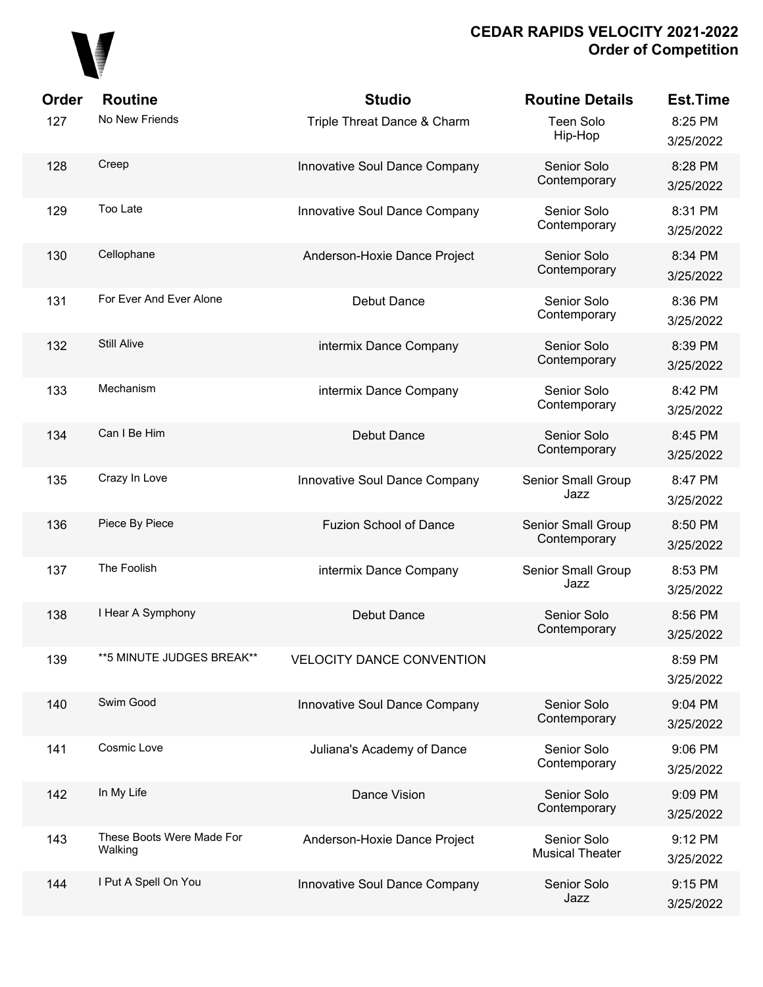

| Order | <b>Routine</b>                       | <b>Studio</b>                    | <b>Routine Details</b>                | <b>Est.Time</b>      |
|-------|--------------------------------------|----------------------------------|---------------------------------------|----------------------|
| 127   | No New Friends                       | Triple Threat Dance & Charm      | <b>Teen Solo</b><br>Hip-Hop           | 8:25 PM<br>3/25/2022 |
| 128   | Creep                                | Innovative Soul Dance Company    | Senior Solo<br>Contemporary           | 8:28 PM<br>3/25/2022 |
| 129   | Too Late                             | Innovative Soul Dance Company    | Senior Solo<br>Contemporary           | 8:31 PM<br>3/25/2022 |
| 130   | Cellophane                           | Anderson-Hoxie Dance Project     | Senior Solo<br>Contemporary           | 8:34 PM<br>3/25/2022 |
| 131   | For Ever And Ever Alone              | Debut Dance                      | Senior Solo<br>Contemporary           | 8:36 PM<br>3/25/2022 |
| 132   | <b>Still Alive</b>                   | intermix Dance Company           | Senior Solo<br>Contemporary           | 8:39 PM<br>3/25/2022 |
| 133   | Mechanism                            | intermix Dance Company           | Senior Solo<br>Contemporary           | 8:42 PM<br>3/25/2022 |
| 134   | Can I Be Him                         | Debut Dance                      | Senior Solo<br>Contemporary           | 8:45 PM<br>3/25/2022 |
| 135   | Crazy In Love                        | Innovative Soul Dance Company    | Senior Small Group<br>Jazz            | 8:47 PM<br>3/25/2022 |
| 136   | Piece By Piece                       | <b>Fuzion School of Dance</b>    | Senior Small Group<br>Contemporary    | 8:50 PM<br>3/25/2022 |
| 137   | The Foolish                          | intermix Dance Company           | Senior Small Group<br>Jazz            | 8:53 PM<br>3/25/2022 |
| 138   | I Hear A Symphony                    | Debut Dance                      | Senior Solo<br>Contemporary           | 8:56 PM<br>3/25/2022 |
| 139   | ** 5 MINUTE JUDGES BREAK**           | <b>VELOCITY DANCE CONVENTION</b> |                                       | 8:59 PM<br>3/25/2022 |
| 140   | Swim Good                            | Innovative Soul Dance Company    | Senior Solo<br>Contemporary           | 9:04 PM<br>3/25/2022 |
| 141   | Cosmic Love                          | Juliana's Academy of Dance       | Senior Solo<br>Contemporary           | 9:06 PM<br>3/25/2022 |
| 142   | In My Life                           | Dance Vision                     | Senior Solo<br>Contemporary           | 9:09 PM<br>3/25/2022 |
| 143   | These Boots Were Made For<br>Walking | Anderson-Hoxie Dance Project     | Senior Solo<br><b>Musical Theater</b> | 9:12 PM<br>3/25/2022 |
| 144   | I Put A Spell On You                 | Innovative Soul Dance Company    | Senior Solo<br>Jazz                   | 9:15 PM<br>3/25/2022 |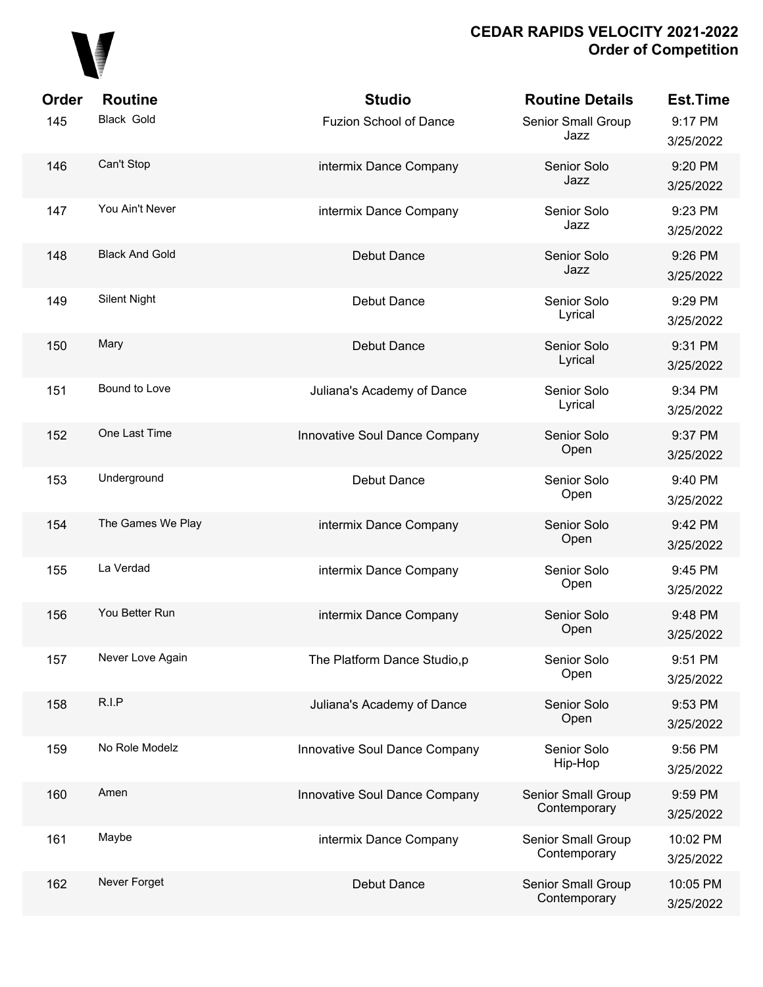

| Order | <b>Routine</b>        | <b>Studio</b>                 | <b>Routine Details</b>             | <b>Est.Time</b>       |
|-------|-----------------------|-------------------------------|------------------------------------|-----------------------|
| 145   | Black Gold            | <b>Fuzion School of Dance</b> | <b>Senior Small Group</b><br>Jazz  | 9:17 PM<br>3/25/2022  |
| 146   | Can't Stop            | intermix Dance Company        | Senior Solo<br>Jazz                | 9:20 PM<br>3/25/2022  |
| 147   | You Ain't Never       | intermix Dance Company        | Senior Solo<br>Jazz                | 9:23 PM<br>3/25/2022  |
| 148   | <b>Black And Gold</b> | Debut Dance                   | Senior Solo<br>Jazz                | 9:26 PM<br>3/25/2022  |
| 149   | Silent Night          | Debut Dance                   | Senior Solo<br>Lyrical             | 9:29 PM<br>3/25/2022  |
| 150   | Mary                  | Debut Dance                   | Senior Solo<br>Lyrical             | 9:31 PM<br>3/25/2022  |
| 151   | Bound to Love         | Juliana's Academy of Dance    | Senior Solo<br>Lyrical             | 9:34 PM<br>3/25/2022  |
| 152   | One Last Time         | Innovative Soul Dance Company | Senior Solo<br>Open                | 9:37 PM<br>3/25/2022  |
| 153   | Underground           | Debut Dance                   | Senior Solo<br>Open                | 9:40 PM<br>3/25/2022  |
| 154   | The Games We Play     | intermix Dance Company        | Senior Solo<br>Open                | 9:42 PM<br>3/25/2022  |
| 155   | La Verdad             | intermix Dance Company        | Senior Solo<br>Open                | 9:45 PM<br>3/25/2022  |
| 156   | You Better Run        | intermix Dance Company        | Senior Solo<br>Open                | 9:48 PM<br>3/25/2022  |
| 157   | Never Love Again      | The Platform Dance Studio,p   | Senior Solo<br>Open                | 9:51 PM<br>3/25/2022  |
| 158   | R.I.P                 | Juliana's Academy of Dance    | Senior Solo<br>Open                | 9:53 PM<br>3/25/2022  |
| 159   | No Role Modelz        | Innovative Soul Dance Company | Senior Solo<br>Hip-Hop             | 9:56 PM<br>3/25/2022  |
| 160   | Amen                  | Innovative Soul Dance Company | Senior Small Group<br>Contemporary | 9:59 PM<br>3/25/2022  |
| 161   | Maybe                 | intermix Dance Company        | Senior Small Group<br>Contemporary | 10:02 PM<br>3/25/2022 |
| 162   | Never Forget          | Debut Dance                   | Senior Small Group<br>Contemporary | 10:05 PM<br>3/25/2022 |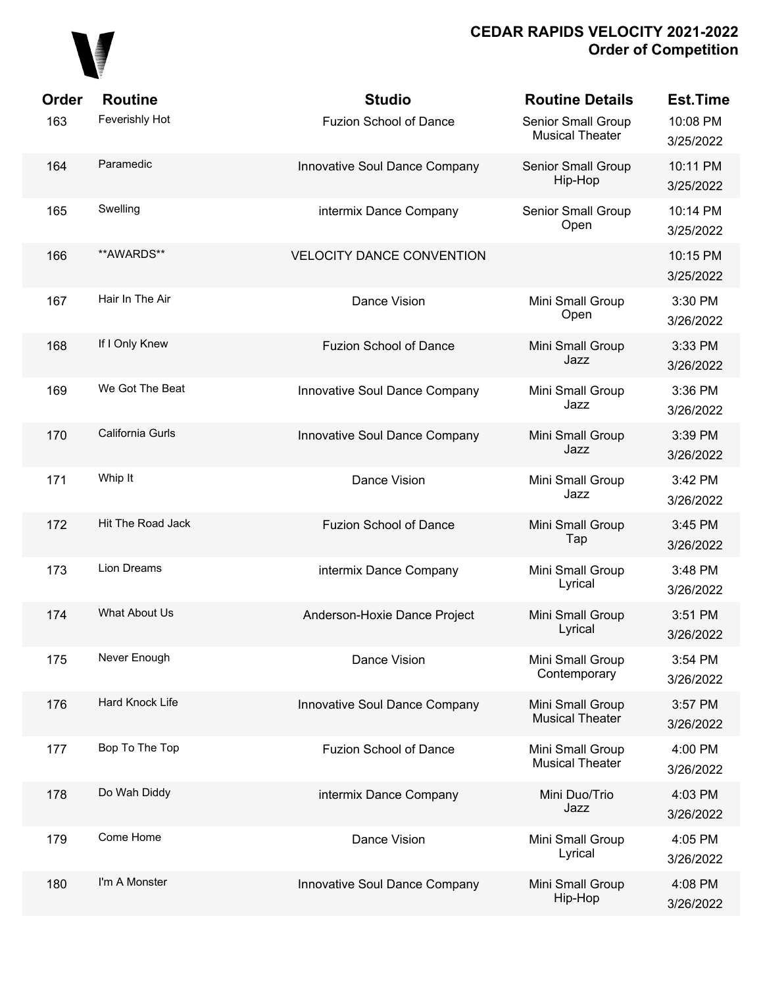

| Order | <b>Routine</b>     | <b>Studio</b>                    | <b>Routine Details</b>                       | <b>Est.Time</b>       |
|-------|--------------------|----------------------------------|----------------------------------------------|-----------------------|
| 163   | Feverishly Hot     | <b>Fuzion School of Dance</b>    | Senior Small Group<br><b>Musical Theater</b> | 10:08 PM<br>3/25/2022 |
| 164   | Paramedic          | Innovative Soul Dance Company    | Senior Small Group<br>Hip-Hop                | 10:11 PM<br>3/25/2022 |
| 165   | Swelling           | intermix Dance Company           | Senior Small Group<br>Open                   | 10:14 PM<br>3/25/2022 |
| 166   | **AWARDS**         | <b>VELOCITY DANCE CONVENTION</b> |                                              | 10:15 PM<br>3/25/2022 |
| 167   | Hair In The Air    | Dance Vision                     | Mini Small Group<br>Open                     | 3:30 PM<br>3/26/2022  |
| 168   | If I Only Knew     | <b>Fuzion School of Dance</b>    | Mini Small Group<br>Jazz                     | 3:33 PM<br>3/26/2022  |
| 169   | We Got The Beat    | Innovative Soul Dance Company    | Mini Small Group<br>Jazz                     | 3:36 PM<br>3/26/2022  |
| 170   | California Gurls   | Innovative Soul Dance Company    | Mini Small Group<br>Jazz                     | 3:39 PM<br>3/26/2022  |
| 171   | Whip It            | Dance Vision                     | Mini Small Group<br>Jazz                     | 3:42 PM<br>3/26/2022  |
| 172   | Hit The Road Jack  | <b>Fuzion School of Dance</b>    | Mini Small Group<br>Tap                      | 3:45 PM<br>3/26/2022  |
| 173   | <b>Lion Dreams</b> | intermix Dance Company           | Mini Small Group<br>Lyrical                  | 3:48 PM<br>3/26/2022  |
| 174   | What About Us      | Anderson-Hoxie Dance Project     | Mini Small Group<br>Lyrical                  | 3:51 PM<br>3/26/2022  |
| 175   | Never Enough       | Dance Vision                     | Mini Small Group<br>Contemporary             | 3:54 PM<br>3/26/2022  |
| 176   | Hard Knock Life    | Innovative Soul Dance Company    | Mini Small Group<br><b>Musical Theater</b>   | 3:57 PM<br>3/26/2022  |
| 177   | Bop To The Top     | <b>Fuzion School of Dance</b>    | Mini Small Group<br><b>Musical Theater</b>   | 4:00 PM<br>3/26/2022  |
| 178   | Do Wah Diddy       | intermix Dance Company           | Mini Duo/Trio<br>Jazz                        | 4:03 PM<br>3/26/2022  |
| 179   | Come Home          | Dance Vision                     | Mini Small Group<br>Lyrical                  | 4:05 PM<br>3/26/2022  |
| 180   | I'm A Monster      | Innovative Soul Dance Company    | Mini Small Group<br>Hip-Hop                  | 4:08 PM<br>3/26/2022  |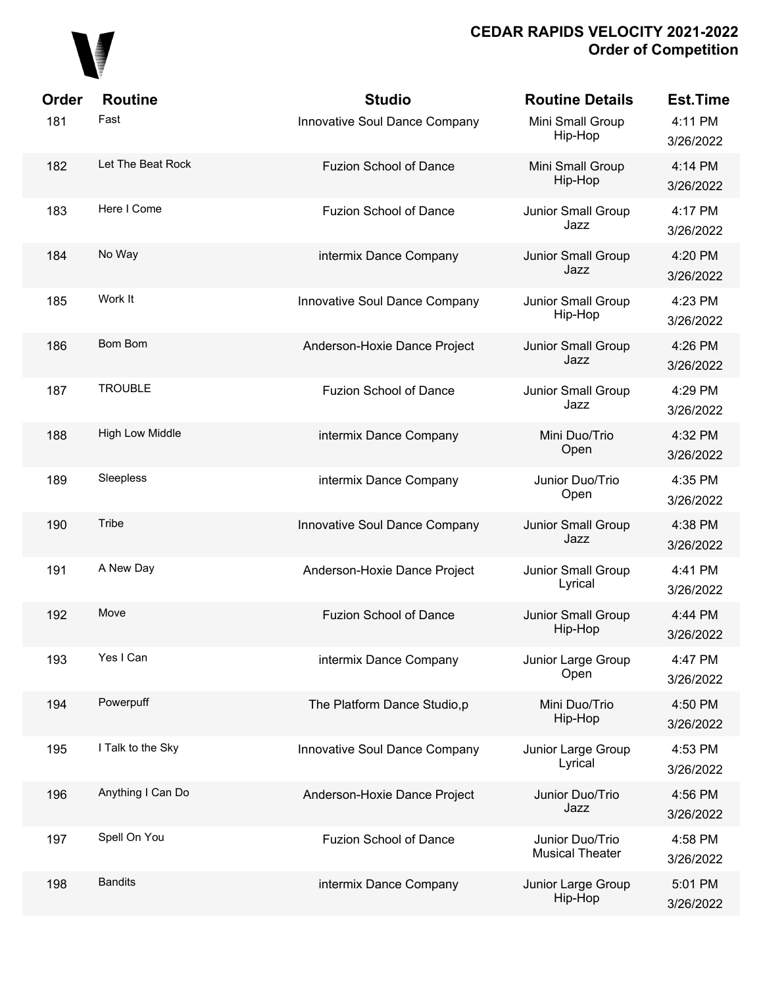## 

| Order | <b>Routine</b>         | <b>Studio</b>                 | <b>Routine Details</b>                    | <b>Est.Time</b>      |
|-------|------------------------|-------------------------------|-------------------------------------------|----------------------|
| 181   | Fast                   | Innovative Soul Dance Company | Mini Small Group<br>Hip-Hop               | 4:11 PM<br>3/26/2022 |
| 182   | Let The Beat Rock      | <b>Fuzion School of Dance</b> | Mini Small Group<br>Hip-Hop               | 4:14 PM<br>3/26/2022 |
| 183   | Here I Come            | <b>Fuzion School of Dance</b> | Junior Small Group<br>Jazz                | 4:17 PM<br>3/26/2022 |
| 184   | No Way                 | intermix Dance Company        | Junior Small Group<br>Jazz                | 4:20 PM<br>3/26/2022 |
| 185   | Work It                | Innovative Soul Dance Company | Junior Small Group<br>Hip-Hop             | 4:23 PM<br>3/26/2022 |
| 186   | <b>Bom Bom</b>         | Anderson-Hoxie Dance Project  | Junior Small Group<br>Jazz                | 4:26 PM<br>3/26/2022 |
| 187   | <b>TROUBLE</b>         | <b>Fuzion School of Dance</b> | Junior Small Group<br>Jazz                | 4:29 PM<br>3/26/2022 |
| 188   | <b>High Low Middle</b> | intermix Dance Company        | Mini Duo/Trio<br>Open                     | 4:32 PM<br>3/26/2022 |
| 189   | Sleepless              | intermix Dance Company        | Junior Duo/Trio<br>Open                   | 4:35 PM<br>3/26/2022 |
| 190   | Tribe                  | Innovative Soul Dance Company | Junior Small Group<br>Jazz                | 4:38 PM<br>3/26/2022 |
| 191   | A New Day              | Anderson-Hoxie Dance Project  | Junior Small Group<br>Lyrical             | 4:41 PM<br>3/26/2022 |
| 192   | Move                   | <b>Fuzion School of Dance</b> | Junior Small Group<br>Hip-Hop             | 4:44 PM<br>3/26/2022 |
| 193   | Yes I Can              | intermix Dance Company        | Junior Large Group<br>Open                | 4:47 PM<br>3/26/2022 |
| 194   | Powerpuff              | The Platform Dance Studio,p   | Mini Duo/Trio<br>Hip-Hop                  | 4:50 PM<br>3/26/2022 |
| 195   | I Talk to the Sky      | Innovative Soul Dance Company | Junior Large Group<br>Lyrical             | 4:53 PM<br>3/26/2022 |
| 196   | Anything I Can Do      | Anderson-Hoxie Dance Project  | Junior Duo/Trio<br>Jazz                   | 4:56 PM<br>3/26/2022 |
| 197   | Spell On You           | <b>Fuzion School of Dance</b> | Junior Duo/Trio<br><b>Musical Theater</b> | 4:58 PM<br>3/26/2022 |
| 198   | <b>Bandits</b>         | intermix Dance Company        | Junior Large Group<br>Hip-Hop             | 5:01 PM<br>3/26/2022 |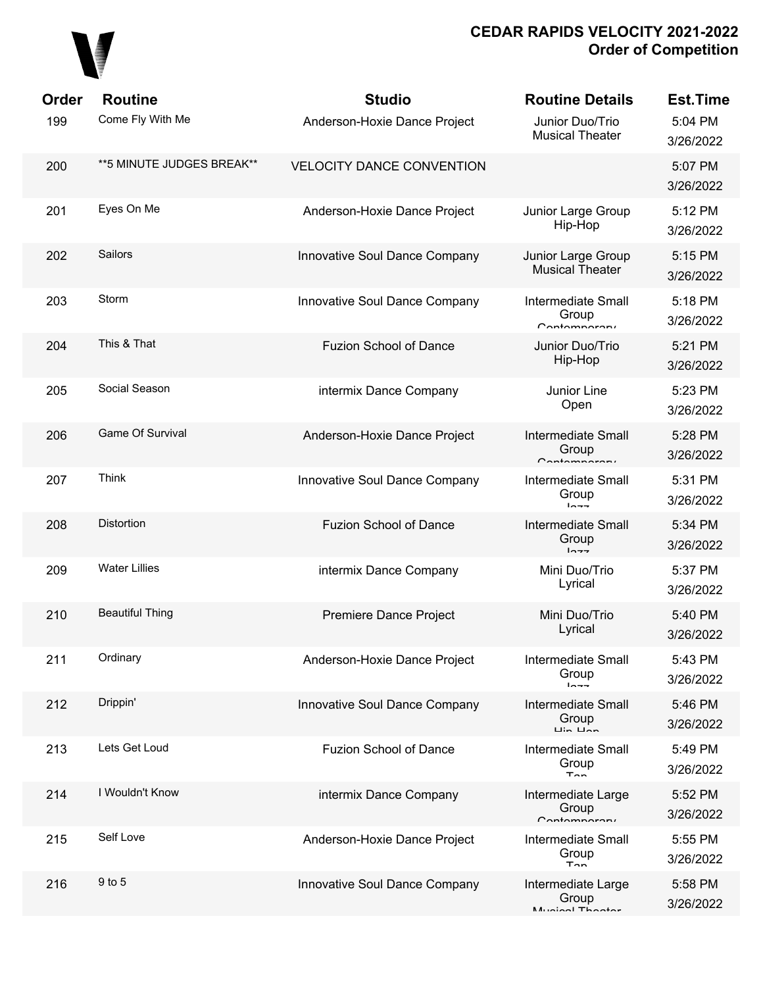

| Order | <b>Routine</b>            | <b>Studio</b>                    | <b>Routine Details</b>                                                   | <b>Est.Time</b>      |
|-------|---------------------------|----------------------------------|--------------------------------------------------------------------------|----------------------|
| 199   | Come Fly With Me          | Anderson-Hoxie Dance Project     | Junior Duo/Trio<br><b>Musical Theater</b>                                | 5:04 PM<br>3/26/2022 |
| 200   | **5 MINUTE JUDGES BREAK** | <b>VELOCITY DANCE CONVENTION</b> |                                                                          | 5:07 PM<br>3/26/2022 |
| 201   | Eyes On Me                | Anderson-Hoxie Dance Project     | Junior Large Group<br>Hip-Hop                                            | 5:12 PM<br>3/26/2022 |
| 202   | Sailors                   | Innovative Soul Dance Company    | Junior Large Group<br><b>Musical Theater</b>                             | 5:15 PM<br>3/26/2022 |
| 203   | Storm                     | Innovative Soul Dance Company    | <b>Intermediate Small</b><br>Group<br>Contamparary                       | 5:18 PM<br>3/26/2022 |
| 204   | This & That               | <b>Fuzion School of Dance</b>    | Junior Duo/Trio<br>Hip-Hop                                               | 5:21 PM<br>3/26/2022 |
| 205   | Social Season             | intermix Dance Company           | Junior Line<br>Open                                                      | 5:23 PM<br>3/26/2022 |
| 206   | Game Of Survival          | Anderson-Hoxie Dance Project     | <b>Intermediate Small</b><br>Group<br>$C$ ontomnoroni                    | 5:28 PM<br>3/26/2022 |
| 207   | <b>Think</b>              | Innovative Soul Dance Company    | <b>Intermediate Small</b><br>Group<br>$ln - -$                           | 5:31 PM<br>3/26/2022 |
| 208   | Distortion                | <b>Fuzion School of Dance</b>    | <b>Intermediate Small</b><br>Group                                       | 5:34 PM<br>3/26/2022 |
| 209   | <b>Water Lillies</b>      | intermix Dance Company           | Mini Duo/Trio<br>Lyrical                                                 | 5:37 PM<br>3/26/2022 |
| 210   | <b>Beautiful Thing</b>    | Premiere Dance Project           | Mini Duo/Trio<br>Lyrical                                                 | 5:40 PM<br>3/26/2022 |
| 211   | Ordinary                  | Anderson-Hoxie Dance Project     | <b>Intermediate Small</b><br>Group<br>$ln - -$                           | 5:43 PM<br>3/26/2022 |
| 212   | Drippin'                  | Innovative Soul Dance Company    | <b>Intermediate Small</b><br>Group<br>$\overline{u}$ in $\overline{u}$ n | 5:46 PM<br>3/26/2022 |
| 213   | Lets Get Loud             | <b>Fuzion School of Dance</b>    | Intermediate Small<br>Group<br>$T_{\cap n}$                              | 5:49 PM<br>3/26/2022 |
| 214   | I Wouldn't Know           | intermix Dance Company           | Intermediate Large<br>Group<br>Contamparary                              | 5:52 PM<br>3/26/2022 |
| 215   | Self Love                 | Anderson-Hoxie Dance Project     | Intermediate Small<br>Group<br>$T_{\cap n}$                              | 5:55 PM<br>3/26/2022 |
| 216   | 9 to 5                    | Innovative Soul Dance Company    | Intermediate Large<br>Group<br>Munical Thootar                           | 5:58 PM<br>3/26/2022 |
|       |                           |                                  |                                                                          |                      |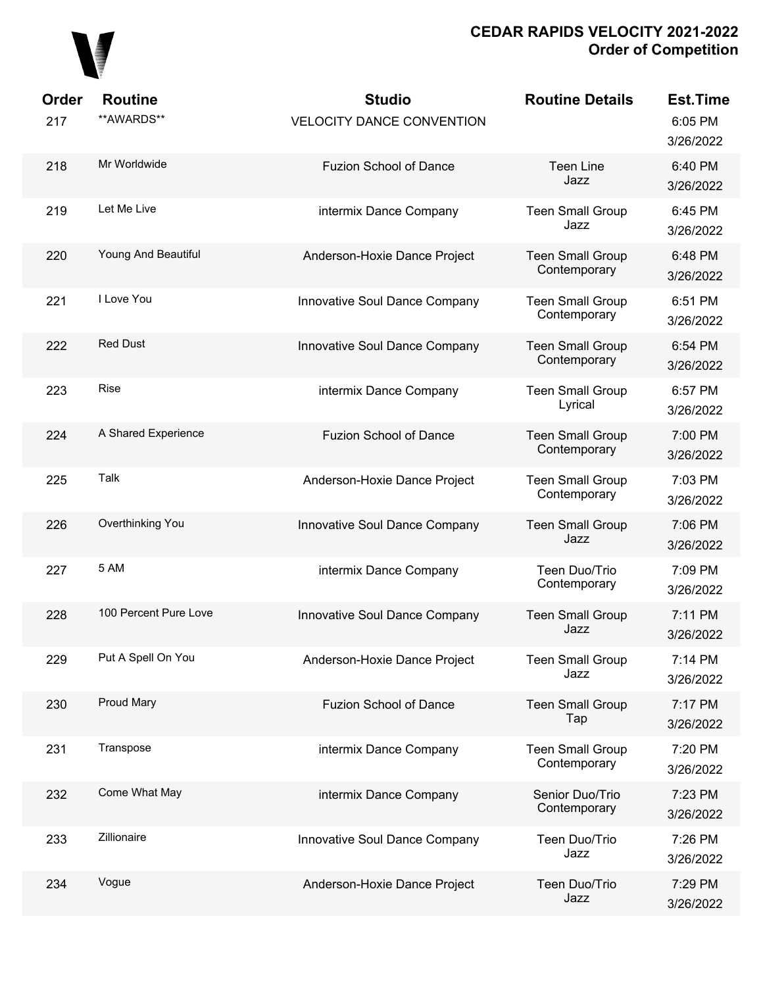

| Order<br>217 | <b>Routine</b><br>**AWARDS** | <b>Studio</b><br><b>VELOCITY DANCE CONVENTION</b> | <b>Routine Details</b>                  | <b>Est.Time</b><br>6:05 PM<br>3/26/2022 |
|--------------|------------------------------|---------------------------------------------------|-----------------------------------------|-----------------------------------------|
| 218          | Mr Worldwide                 | <b>Fuzion School of Dance</b>                     | <b>Teen Line</b><br>Jazz                | 6:40 PM<br>3/26/2022                    |
| 219          | Let Me Live                  | intermix Dance Company                            | <b>Teen Small Group</b><br>Jazz         | 6:45 PM<br>3/26/2022                    |
| 220          | Young And Beautiful          | Anderson-Hoxie Dance Project                      | <b>Teen Small Group</b><br>Contemporary | 6:48 PM<br>3/26/2022                    |
| 221          | I Love You                   | Innovative Soul Dance Company                     | <b>Teen Small Group</b><br>Contemporary | 6:51 PM<br>3/26/2022                    |
| 222          | <b>Red Dust</b>              | Innovative Soul Dance Company                     | <b>Teen Small Group</b><br>Contemporary | 6:54 PM<br>3/26/2022                    |
| 223          | <b>Rise</b>                  | intermix Dance Company                            | <b>Teen Small Group</b><br>Lyrical      | 6:57 PM<br>3/26/2022                    |
| 224          | A Shared Experience          | <b>Fuzion School of Dance</b>                     | <b>Teen Small Group</b><br>Contemporary | 7:00 PM<br>3/26/2022                    |
| 225          | Talk                         | Anderson-Hoxie Dance Project                      | <b>Teen Small Group</b><br>Contemporary | 7:03 PM<br>3/26/2022                    |
| 226          | Overthinking You             | Innovative Soul Dance Company                     | <b>Teen Small Group</b><br>Jazz         | 7:06 PM<br>3/26/2022                    |
| 227          | 5 AM                         | intermix Dance Company                            | Teen Duo/Trio<br>Contemporary           | 7:09 PM<br>3/26/2022                    |
| 228          | 100 Percent Pure Love        | Innovative Soul Dance Company                     | <b>Teen Small Group</b><br>Jazz         | 7:11 PM<br>3/26/2022                    |
| 229          | Put A Spell On You           | Anderson-Hoxie Dance Project                      | <b>Teen Small Group</b><br>Jazz         | 7:14 PM<br>3/26/2022                    |
| 230          | Proud Mary                   | <b>Fuzion School of Dance</b>                     | <b>Teen Small Group</b><br>Tap          | 7:17 PM<br>3/26/2022                    |
| 231          | Transpose                    | intermix Dance Company                            | <b>Teen Small Group</b><br>Contemporary | 7:20 PM<br>3/26/2022                    |
| 232          | Come What May                | intermix Dance Company                            | Senior Duo/Trio<br>Contemporary         | 7:23 PM<br>3/26/2022                    |
| 233          | Zillionaire                  | Innovative Soul Dance Company                     | Teen Duo/Trio<br>Jazz                   | 7:26 PM<br>3/26/2022                    |
| 234          | Vogue                        | Anderson-Hoxie Dance Project                      | Teen Duo/Trio<br>Jazz                   | 7:29 PM<br>3/26/2022                    |